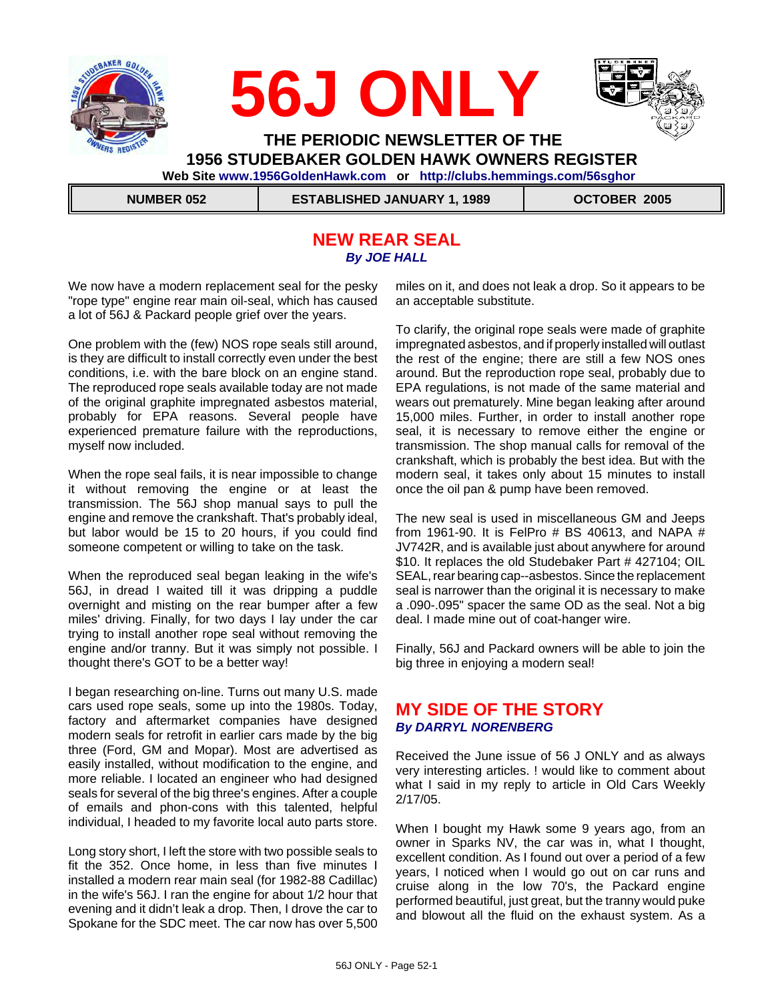

### **NEW REAR SEAL** *By JOE HALL*

We now have a modern replacement seal for the pesky "rope type" engine rear main oil-seal, which has caused a lot of 56J & Packard people grief over the years.

One problem with the (few) NOS rope seals still around, is they are difficult to install correctly even under the best conditions, i.e. with the bare block on an engine stand. The reproduced rope seals available today are not made of the original graphite impregnated asbestos material, probably for EPA reasons. Several people have experienced premature failure with the reproductions, myself now included.

When the rope seal fails, it is near impossible to change it without removing the engine or at least the transmission. The 56J shop manual says to pull the engine and remove the crankshaft. That's probably ideal, but labor would be 15 to 20 hours, if you could find someone competent or willing to take on the task.

When the reproduced seal began leaking in the wife's 56J, in dread I waited till it was dripping a puddle overnight and misting on the rear bumper after a few miles' driving. Finally, for two days I lay under the car trying to install another rope seal without removing the engine and/or tranny. But it was simply not possible. I thought there's GOT to be a better way!

I began researching on-line. Turns out many U.S. made cars used rope seals, some up into the 1980s. Today, factory and aftermarket companies have designed modern seals for retrofit in earlier cars made by the big three (Ford, GM and Mopar). Most are advertised as easily installed, without modification to the engine, and more reliable. I located an engineer who had designed seals for several of the big three's engines. After a couple of emails and phon-cons with this talented, helpful individual, I headed to my favorite local auto parts store.

Long story short, I left the store with two possible seals to fit the 352. Once home, in less than five minutes I installed a modern rear main seal (for 1982-88 Cadillac) in the wife's 56J. I ran the engine for about 1/2 hour that evening and it didn't leak a drop. Then, I drove the car to Spokane for the SDC meet. The car now has over 5,500 miles on it, and does not leak a drop. So it appears to be an acceptable substitute.

To clarify, the original rope seals were made of graphite impregnated asbestos, and if properly installed will outlast the rest of the engine; there are still a few NOS ones around. But the reproduction rope seal, probably due to EPA regulations, is not made of the same material and wears out prematurely. Mine began leaking after around 15,000 miles. Further, in order to install another rope seal, it is necessary to remove either the engine or transmission. The shop manual calls for removal of the crankshaft, which is probably the best idea. But with the modern seal, it takes only about 15 minutes to install once the oil pan & pump have been removed.

The new seal is used in miscellaneous GM and Jeeps from 1961-90. It is FelPro # BS 40613, and NAPA # JV742R, and is available just about anywhere for around \$10. It replaces the old Studebaker Part # 427104; OIL SEAL, rear bearing cap--asbestos. Since the replacement seal is narrower than the original it is necessary to make a .090-.095" spacer the same OD as the seal. Not a big deal. I made mine out of coat-hanger wire.

Finally, 56J and Packard owners will be able to join the big three in enjoying a modern seal!

### **MY SIDE OF THE STORY** *By DARRYL NORENBERG*

Received the June issue of 56 J ONLY and as always very interesting articles. ! would like to comment about what I said in my reply to article in Old Cars Weekly 2/17/05.

When I bought my Hawk some 9 years ago, from an owner in Sparks NV, the car was in, what I thought, excellent condition. As I found out over a period of a few years, I noticed when I would go out on car runs and cruise along in the low 70's, the Packard engine performed beautiful, just great, but the tranny would puke and blowout all the fluid on the exhaust system. As a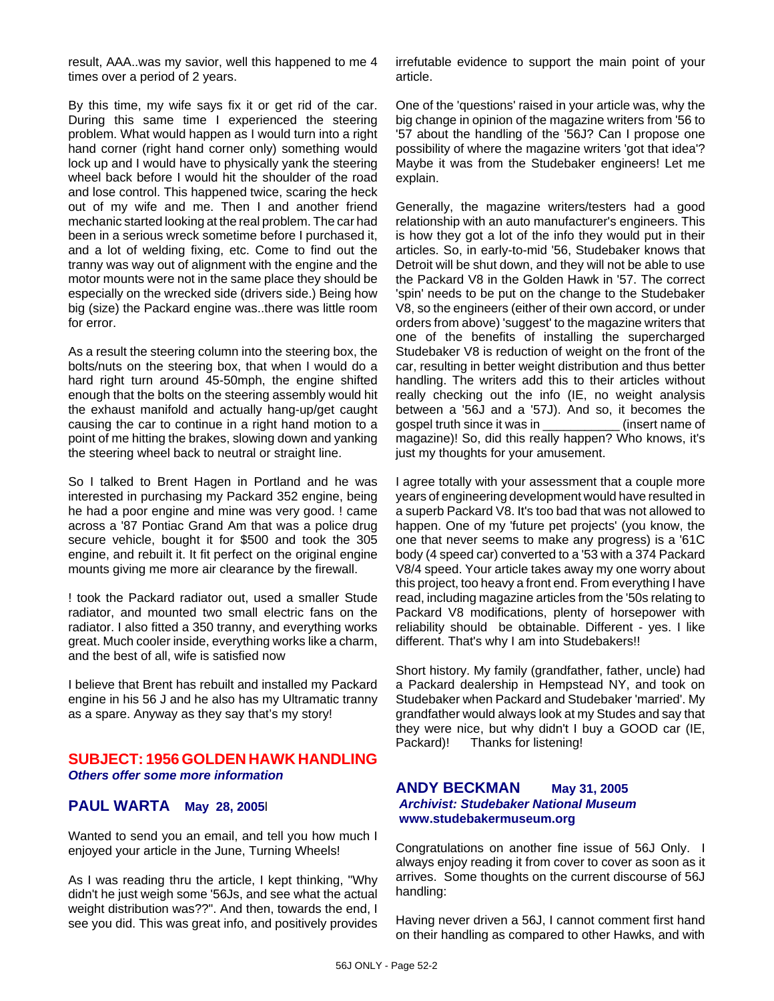result, AAA..was my savior, well this happened to me 4 times over a period of 2 years.

By this time, my wife says fix it or get rid of the car. During this same time I experienced the steering problem. What would happen as I would turn into a right hand corner (right hand corner only) something would lock up and I would have to physically yank the steering wheel back before I would hit the shoulder of the road and lose control. This happened twice, scaring the heck out of my wife and me. Then I and another friend mechanic started looking at the real problem. The car had been in a serious wreck sometime before I purchased it, and a lot of welding fixing, etc. Come to find out the tranny was way out of alignment with the engine and the motor mounts were not in the same place they should be especially on the wrecked side (drivers side.) Being how big (size) the Packard engine was..there was little room for error.

As a result the steering column into the steering box, the bolts/nuts on the steering box, that when I would do a hard right turn around 45-50mph, the engine shifted enough that the bolts on the steering assembly would hit the exhaust manifold and actually hang-up/get caught causing the car to continue in a right hand motion to a point of me hitting the brakes, slowing down and yanking the steering wheel back to neutral or straight line.

So I talked to Brent Hagen in Portland and he was interested in purchasing my Packard 352 engine, being he had a poor engine and mine was very good. ! came across a '87 Pontiac Grand Am that was a police drug secure vehicle, bought it for \$500 and took the 305 engine, and rebuilt it. It fit perfect on the original engine mounts giving me more air clearance by the firewall.

! took the Packard radiator out, used a smaller Stude radiator, and mounted two small electric fans on the radiator. I also fitted a 350 tranny, and everything works great. Much cooler inside, everything works like a charm, and the best of all, wife is satisfied now

I believe that Brent has rebuilt and installed my Packard engine in his 56 J and he also has my Ultramatic tranny as a spare. Anyway as they say that's my story!

#### **SUBJECT: 1956 GOLDEN HAWK HANDLING** *Others offer some more information*

## **PAUL WARTA May 28, 2005**l

Wanted to send you an email, and tell you how much I enjoyed your article in the June, Turning Wheels!

As I was reading thru the article, I kept thinking, "Why didn't he just weigh some '56Js, and see what the actual weight distribution was??". And then, towards the end, I see you did. This was great info, and positively provides irrefutable evidence to support the main point of your article.

One of the 'questions' raised in your article was, why the big change in opinion of the magazine writers from '56 to '57 about the handling of the '56J? Can I propose one possibility of where the magazine writers 'got that idea'? Maybe it was from the Studebaker engineers! Let me explain.

Generally, the magazine writers/testers had a good relationship with an auto manufacturer's engineers. This is how they got a lot of the info they would put in their articles. So, in early-to-mid '56, Studebaker knows that Detroit will be shut down, and they will not be able to use the Packard V8 in the Golden Hawk in '57. The correct 'spin' needs to be put on the change to the Studebaker V8, so the engineers (either of their own accord, or under orders from above) 'suggest' to the magazine writers that one of the benefits of installing the supercharged Studebaker V8 is reduction of weight on the front of the car, resulting in better weight distribution and thus better handling. The writers add this to their articles without really checking out the info (IE, no weight analysis between a '56J and a '57J). And so, it becomes the gospel truth since it was in \_\_\_\_\_\_\_\_\_\_\_ (insert name of magazine)! So, did this really happen? Who knows, it's just my thoughts for your amusement.

I agree totally with your assessment that a couple more years of engineering development would have resulted in a superb Packard V8. It's too bad that was not allowed to happen. One of my 'future pet projects' (you know, the one that never seems to make any progress) is a '61C body (4 speed car) converted to a '53 with a 374 Packard V8/4 speed. Your article takes away my one worry about this project, too heavy a front end. From everything I have read, including magazine articles from the '50s relating to Packard V8 modifications, plenty of horsepower with reliability should be obtainable. Different - yes. I like different. That's why I am into Studebakers!!

Short history. My family (grandfather, father, uncle) had a Packard dealership in Hempstead NY, and took on Studebaker when Packard and Studebaker 'married'. My grandfather would always look at my Studes and say that they were nice, but why didn't I buy a GOOD car (IE, Packard)! Thanks for listening!

#### **ANDY BECKMAN May 31, 2005** *Archivist: Studebaker National Museum* **www.studebakermuseum.org**

Congratulations on another fine issue of 56J Only. I always enjoy reading it from cover to cover as soon as it arrives. Some thoughts on the current discourse of 56J handling:

Having never driven a 56J, I cannot comment first hand on their handling as compared to other Hawks, and with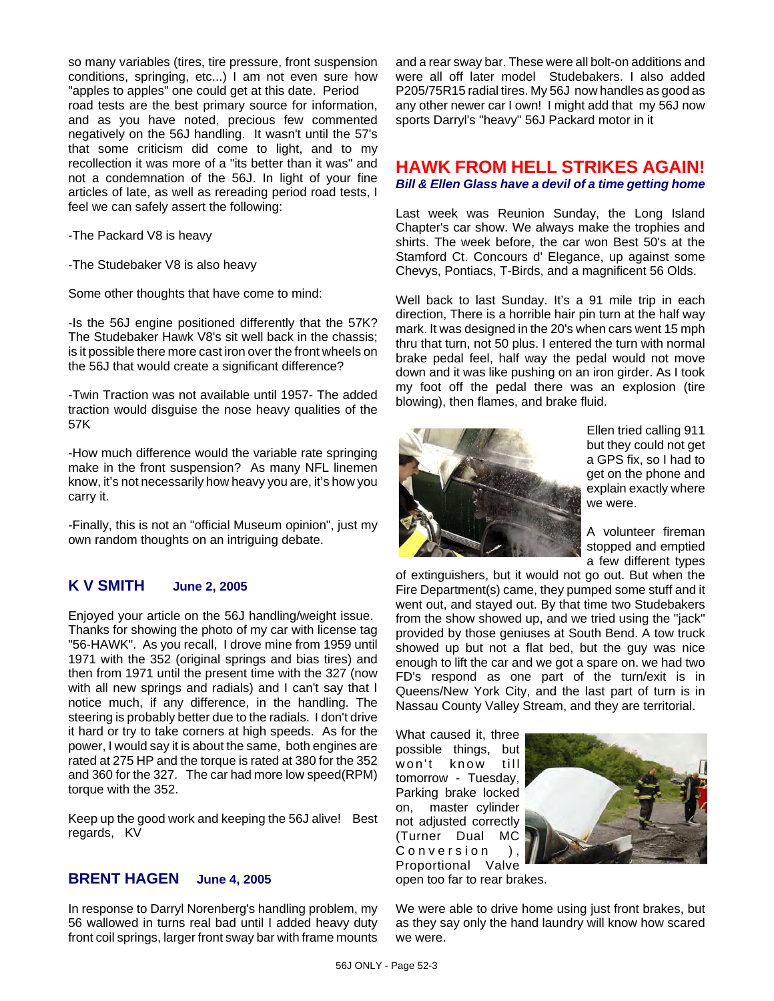so many variables (tires, tire pressure, front suspension conditions, springing, etc...) I am not even sure how "apples to apples" one could get at this date. Period road tests are the best primary source for information, and as you have noted, precious few commented negatively on the 56J handling. It wasn't until the 57's that some criticism did come to light, and to my recollection it was more of a "its better than it was" and not a condemnation of the 56J. In light of your fine articles of late, as well as rereading period road tests, I feel we can safely assert the following:

-The Packard V8 is heavy

-The Studebaker V8 is also heavy

Some other thoughts that have come to mind:

-Is the 56J engine positioned differently that the 57K? The Studebaker Hawk V8's sit well back in the chassis; is it possible there more cast iron over the front wheels on the 56J that would create a significant difference?

-Twin Traction was not available until 1957- The added traction would disguise the nose heavy qualities of the 57K

-How much difference would the variable rate springing make in the front suspension? As many NFL linemen know, it's not necessarily how heavy you are, it's how you carry it.

-Finally, this is not an "official Museum opinion", just my own random thoughts on an intriguing debate.

### **K V SMITH June 2, 2005**

Enjoyed your article on the 56J handling/weight issue. Thanks for showing the photo of my car with license tag "56-HAWK". As you recall, I drove mine from 1959 until 1971 with the 352 (original springs and bias tires) and then from 1971 until the present time with the 327 (now with all new springs and radials) and I can't say that I notice much, if any difference, in the handling. The steering is probably better due to the radials. I don't drive it hard or try to take corners at high speeds. As for the power, I would say it is about the same, both engines are rated at 275 HP and the torque is rated at 380 for the 352 and 360 for the 327. The car had more low speed(RPM) torque with the 352.

Keep up the good work and keeping the 56J alive! Best regards, KV

### **BRENT HAGEN June 4, 2005**

In response to Darryl Norenberg's handling problem, my 56 wallowed in turns real bad until I added heavy duty front coil springs, larger front sway bar with frame mounts

and a rear sway bar. These were all bolt-on additions and were all off later model Studebakers. I also added P205/75R15 radial tires. My 56J now handles as good as any other newer car I own! I might add that my 56J now sports Darryl's "heavy" 56J Packard motor in it

#### **HAWK FROM HELL STRIKES AGAIN!** *Bill & Ellen Glass have a devil of a time getting home*

Last week was Reunion Sunday, the Long Island Chapter's car show. We always make the trophies and shirts. The week before, the car won Best 50's at the Stamford Ct. Concours d' Elegance, up against some Chevys, Pontiacs, T-Birds, and a magnificent 56 Olds.

Well back to last Sunday. It's a 91 mile trip in each direction, There is a horrible hair pin turn at the half way mark. It was designed in the 20's when cars went 15 mph thru that turn, not 50 plus. I entered the turn with normal brake pedal feel, half way the pedal would not move down and it was like pushing on an iron girder. As I took my foot off the pedal there was an explosion (tire blowing), then flames, and brake fluid.



Ellen tried calling 911 but they could not get a GPS fix, so I had to get on the phone and explain exactly where we were.

A volunteer fireman stopped and emptied a few different types

of extinguishers, but it would not go out. But when the Fire Department(s) came, they pumped some stuff and it went out, and stayed out. By that time two Studebakers from the show showed up, and we tried using the "jack" provided by those geniuses at South Bend. A tow truck showed up but not a flat bed, but the guy was nice enough to lift the car and we got a spare on. we had two FD's respond as one part of the turn/exit is in Queens/New York City, and the last part of turn is in Nassau County Valley Stream, and they are territorial.

What caused it, three possible things, but won't know till tomorrow - Tuesday, Parking brake locked on, master cylinder not adjusted correctly (Turner Dual MC Conversion ), Proportional Valve open too far to rear brakes.



We were able to drive home using just front brakes, but as they say only the hand laundry will know how scared we were.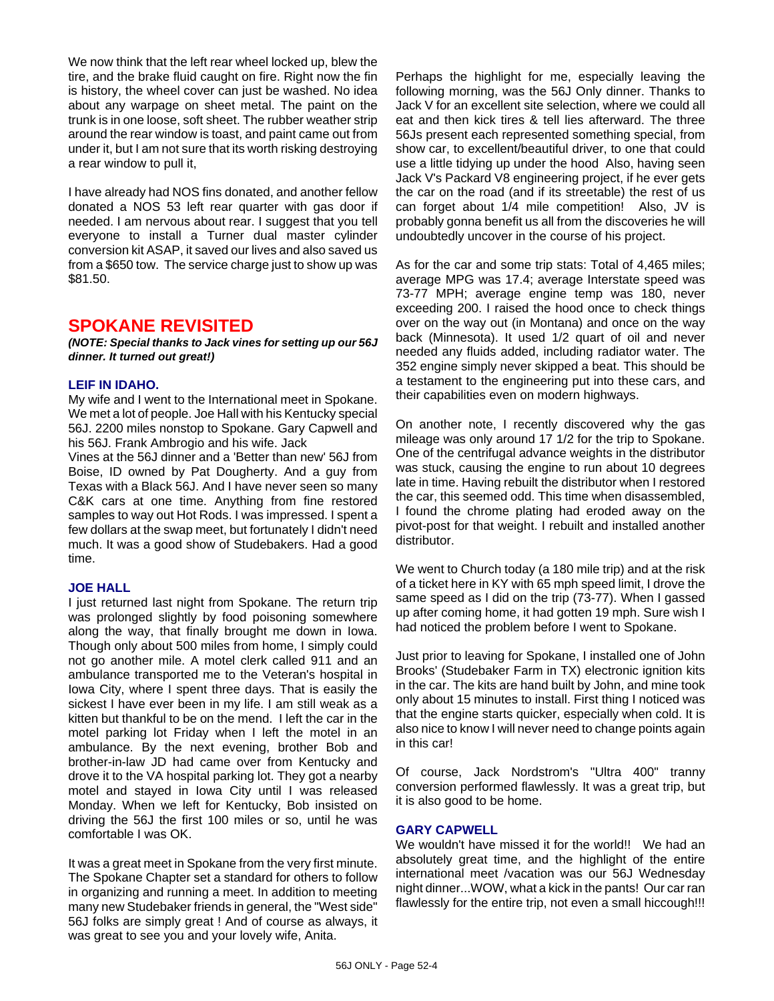We now think that the left rear wheel locked up, blew the tire, and the brake fluid caught on fire. Right now the fin is history, the wheel cover can just be washed. No idea about any warpage on sheet metal. The paint on the trunk is in one loose, soft sheet. The rubber weather strip around the rear window is toast, and paint came out from under it, but I am not sure that its worth risking destroying a rear window to pull it,

I have already had NOS fins donated, and another fellow donated a NOS 53 left rear quarter with gas door if needed. I am nervous about rear. I suggest that you tell everyone to install a Turner dual master cylinder conversion kit ASAP, it saved our lives and also saved us from a \$650 tow. The service charge just to show up was \$81.50.

## **SPOKANE REVISITED**

*(NOTE: Special thanks to Jack vines for setting up our 56J dinner. It turned out great!)*

#### **LEIF IN IDAHO.**

My wife and I went to the International meet in Spokane. We met a lot of people. Joe Hall with his Kentucky special 56J. 2200 miles nonstop to Spokane. Gary Capwell and his 56J. Frank Ambrogio and his wife. Jack

Vines at the 56J dinner and a 'Better than new' 56J from Boise, ID owned by Pat Dougherty. And a guy from Texas with a Black 56J. And I have never seen so many C&K cars at one time. Anything from fine restored samples to way out Hot Rods. I was impressed. I spent a few dollars at the swap meet, but fortunately I didn't need much. It was a good show of Studebakers. Had a good time.

#### **JOE HALL**

I just returned last night from Spokane. The return trip was prolonged slightly by food poisoning somewhere along the way, that finally brought me down in Iowa. Though only about 500 miles from home, I simply could not go another mile. A motel clerk called 911 and an ambulance transported me to the Veteran's hospital in Iowa City, where I spent three days. That is easily the sickest I have ever been in my life. I am still weak as a kitten but thankful to be on the mend. I left the car in the motel parking lot Friday when I left the motel in an ambulance. By the next evening, brother Bob and brother-in-law JD had came over from Kentucky and drove it to the VA hospital parking lot. They got a nearby motel and stayed in Iowa City until I was released Monday. When we left for Kentucky, Bob insisted on driving the 56J the first 100 miles or so, until he was comfortable I was OK.

It was a great meet in Spokane from the very first minute. The Spokane Chapter set a standard for others to follow in organizing and running a meet. In addition to meeting many new Studebaker friends in general, the "West side" 56J folks are simply great ! And of course as always, it was great to see you and your lovely wife, Anita.

Perhaps the highlight for me, especially leaving the following morning, was the 56J Only dinner. Thanks to Jack V for an excellent site selection, where we could all eat and then kick tires & tell lies afterward. The three 56Js present each represented something special, from show car, to excellent/beautiful driver, to one that could use a little tidying up under the hood Also, having seen Jack V's Packard V8 engineering project, if he ever gets the car on the road (and if its streetable) the rest of us can forget about 1/4 mile competition! Also, JV is probably gonna benefit us all from the discoveries he will undoubtedly uncover in the course of his project.

As for the car and some trip stats: Total of 4,465 miles; average MPG was 17.4; average Interstate speed was 73-77 MPH; average engine temp was 180, never exceeding 200. I raised the hood once to check things over on the way out (in Montana) and once on the way back (Minnesota). It used 1/2 quart of oil and never needed any fluids added, including radiator water. The 352 engine simply never skipped a beat. This should be a testament to the engineering put into these cars, and their capabilities even on modern highways.

On another note, I recently discovered why the gas mileage was only around 17 1/2 for the trip to Spokane. One of the centrifugal advance weights in the distributor was stuck, causing the engine to run about 10 degrees late in time. Having rebuilt the distributor when I restored the car, this seemed odd. This time when disassembled, I found the chrome plating had eroded away on the pivot-post for that weight. I rebuilt and installed another distributor.

We went to Church today (a 180 mile trip) and at the risk of a ticket here in KY with 65 mph speed limit, I drove the same speed as I did on the trip (73-77). When I gassed up after coming home, it had gotten 19 mph. Sure wish I had noticed the problem before I went to Spokane.

Just prior to leaving for Spokane, I installed one of John Brooks' (Studebaker Farm in TX) electronic ignition kits in the car. The kits are hand built by John, and mine took only about 15 minutes to install. First thing I noticed was that the engine starts quicker, especially when cold. It is also nice to know I will never need to change points again in this car!

Of course, Jack Nordstrom's "Ultra 400" tranny conversion performed flawlessly. It was a great trip, but it is also good to be home.

#### **GARY CAPWELL**

We wouldn't have missed it for the world!! We had an absolutely great time, and the highlight of the entire international meet /vacation was our 56J Wednesday night dinner...WOW, what a kick in the pants! Our car ran flawlessly for the entire trip, not even a small hiccough!!!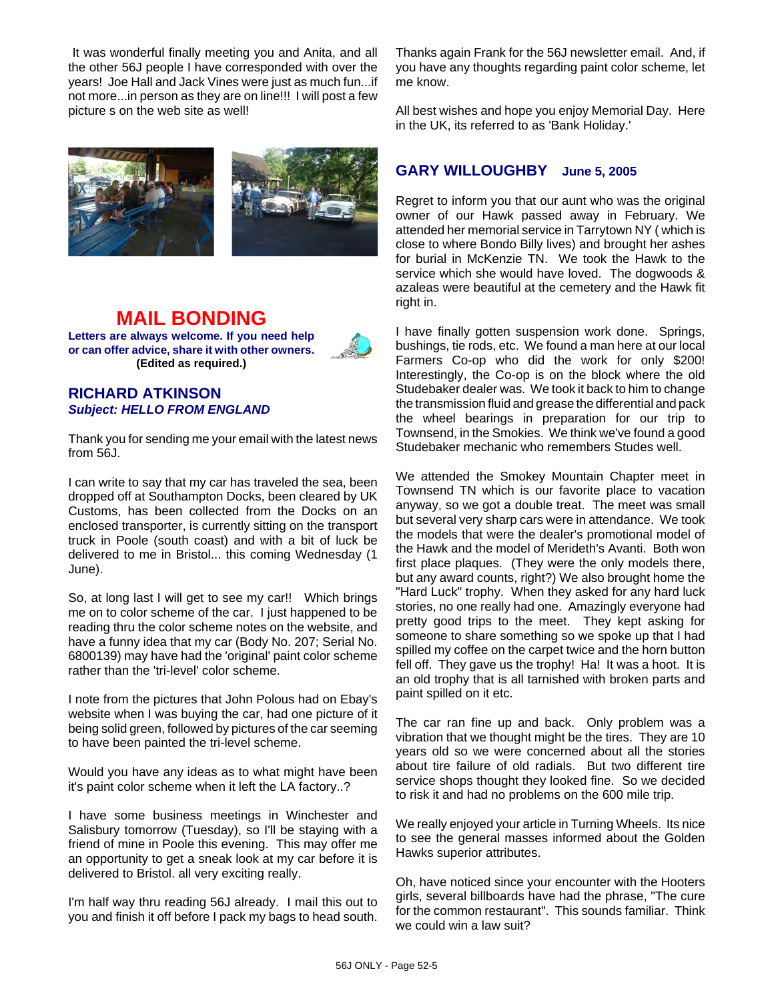It was wonderful finally meeting you and Anita, and all the other 56J people I have corresponded with over the years! Joe Hall and Jack Vines were just as much fun...if not more...in person as they are on line!!! I will post a few picture s on the web site as well!



#### **MAIL BONDING Letters are always welcome. If you need help or can offer advice, share it with other owners. (Edited as required.)**



#### **RICHARD ATKINSON** *Subject: HELLO FROM ENGLAND*

Thank you for sending me your email with the latest news from 56J.

I can write to say that my car has traveled the sea, been dropped off at Southampton Docks, been cleared by UK Customs, has been collected from the Docks on an enclosed transporter, is currently sitting on the transport truck in Poole (south coast) and with a bit of luck be delivered to me in Bristol... this coming Wednesday (1 June).

So, at long last I will get to see my car!! Which brings me on to color scheme of the car. I just happened to be reading thru the color scheme notes on the website, and have a funny idea that my car (Body No. 207; Serial No. 6800139) may have had the 'original' paint color scheme rather than the 'tri-level' color scheme.

I note from the pictures that John Polous had on Ebay's website when I was buying the car, had one picture of it being solid green, followed by pictures of the car seeming to have been painted the tri-level scheme.

Would you have any ideas as to what might have been it's paint color scheme when it left the LA factory..?

I have some business meetings in Winchester and Salisbury tomorrow (Tuesday), so I'll be staying with a friend of mine in Poole this evening. This may offer me an opportunity to get a sneak look at my car before it is delivered to Bristol. all very exciting really.

I'm half way thru reading 56J already. I mail this out to you and finish it off before I pack my bags to head south. Thanks again Frank for the 56J newsletter email. And, if you have any thoughts regarding paint color scheme, let me know.

All best wishes and hope you enjoy Memorial Day. Here in the UK, its referred to as 'Bank Holiday.'

## **GARY WILLOUGHBY June 5, 2005**

Regret to inform you that our aunt who was the original owner of our Hawk passed away in February. We attended her memorial service in Tarrytown NY ( which is close to where Bondo Billy lives) and brought her ashes for burial in McKenzie TN. We took the Hawk to the service which she would have loved. The dogwoods & azaleas were beautiful at the cemetery and the Hawk fit right in.

I have finally gotten suspension work done. Springs, bushings, tie rods, etc. We found a man here at our local Farmers Co-op who did the work for only \$200! Interestingly, the Co-op is on the block where the old Studebaker dealer was. We took it back to him to change the transmission fluid and grease the differential and pack the wheel bearings in preparation for our trip to Townsend, in the Smokies. We think we've found a good Studebaker mechanic who remembers Studes well.

We attended the Smokey Mountain Chapter meet in Townsend TN which is our favorite place to vacation anyway, so we got a double treat. The meet was small but several very sharp cars were in attendance. We took the models that were the dealer's promotional model of the Hawk and the model of Merideth's Avanti. Both won first place plaques. (They were the only models there, but any award counts, right?) We also brought home the "Hard Luck" trophy. When they asked for any hard luck stories, no one really had one. Amazingly everyone had pretty good trips to the meet. They kept asking for someone to share something so we spoke up that I had spilled my coffee on the carpet twice and the horn button fell off. They gave us the trophy! Ha! It was a hoot. It is an old trophy that is all tarnished with broken parts and paint spilled on it etc.

The car ran fine up and back. Only problem was a vibration that we thought might be the tires. They are 10 years old so we were concerned about all the stories about tire failure of old radials. But two different tire service shops thought they looked fine. So we decided to risk it and had no problems on the 600 mile trip.

We really enjoyed your article in Turning Wheels. Its nice to see the general masses informed about the Golden Hawks superior attributes.

Oh, have noticed since your encounter with the Hooters girls, several billboards have had the phrase, "The cure for the common restaurant". This sounds familiar. Think we could win a law suit?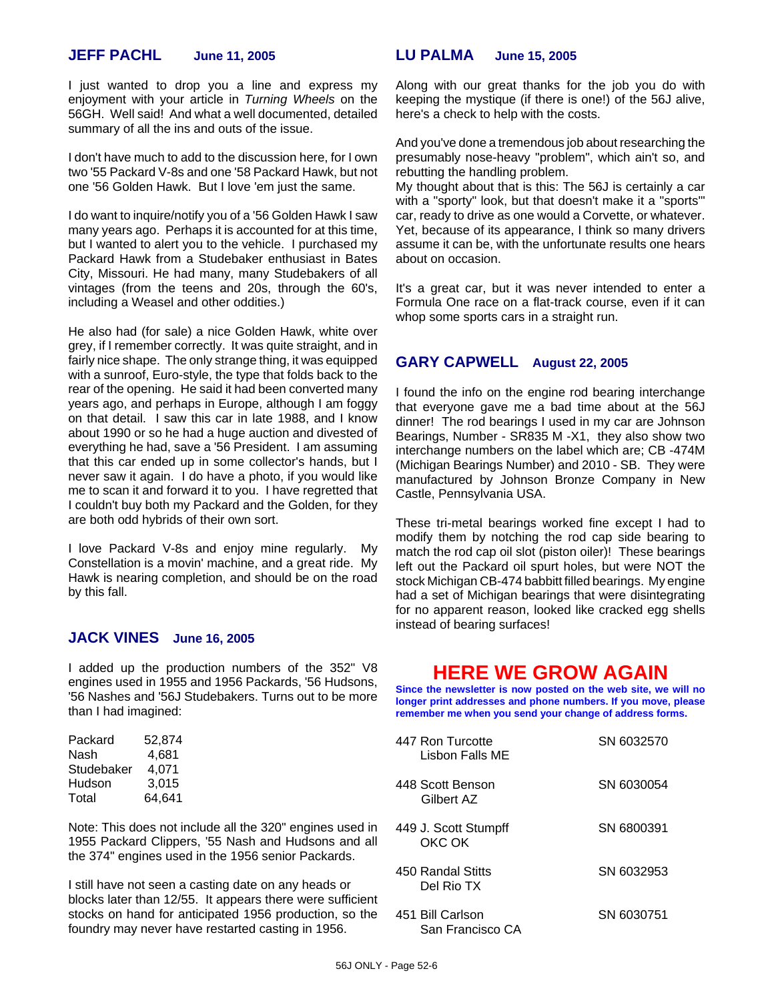#### **JEFF PACHL June 11, 2005**

I just wanted to drop you a line and express my enjoyment with your article in *Turning Wheels* on the 56GH. Well said! And what a well documented, detailed summary of all the ins and outs of the issue.

I don't have much to add to the discussion here, for I own two '55 Packard V-8s and one '58 Packard Hawk, but not one '56 Golden Hawk. But I love 'em just the same.

I do want to inquire/notify you of a '56 Golden Hawk I saw many years ago. Perhaps it is accounted for at this time, but I wanted to alert you to the vehicle. I purchased my Packard Hawk from a Studebaker enthusiast in Bates City, Missouri. He had many, many Studebakers of all vintages (from the teens and 20s, through the 60's, including a Weasel and other oddities.)

He also had (for sale) a nice Golden Hawk, white over grey, if I remember correctly. It was quite straight, and in fairly nice shape. The only strange thing, it was equipped with a sunroof, Euro-style, the type that folds back to the rear of the opening. He said it had been converted many years ago, and perhaps in Europe, although I am foggy on that detail. I saw this car in late 1988, and I know about 1990 or so he had a huge auction and divested of everything he had, save a '56 President. I am assuming that this car ended up in some collector's hands, but I never saw it again. I do have a photo, if you would like me to scan it and forward it to you. I have regretted that I couldn't buy both my Packard and the Golden, for they are both odd hybrids of their own sort.

I love Packard V-8s and enjoy mine regularly. My Constellation is a movin' machine, and a great ride. My Hawk is nearing completion, and should be on the road by this fall.

#### **JACK VINES June 16, 2005**

I added up the production numbers of the 352" V8 engines used in 1955 and 1956 Packards, '56 Hudsons, '56 Nashes and '56J Studebakers. Turns out to be more than I had imagined:

| Packard    | 52,874 |
|------------|--------|
| Nash       | 4.681  |
| Studebaker | 4.071  |
| Hudson     | 3.015  |
| Total      | 64.641 |

Note: This does not include all the 320" engines used in 1955 Packard Clippers, '55 Nash and Hudsons and all the 374" engines used in the 1956 senior Packards.

I still have not seen a casting date on any heads or blocks later than 12/55. It appears there were sufficient stocks on hand for anticipated 1956 production, so the foundry may never have restarted casting in 1956.

#### **LU PALMA June 15, 2005**

Along with our great thanks for the job you do with keeping the mystique (if there is one!) of the 56J alive, here's a check to help with the costs.

And you've done a tremendous job about researching the presumably nose-heavy "problem", which ain't so, and rebutting the handling problem.

My thought about that is this: The 56J is certainly a car with a "sporty" look, but that doesn't make it a "sports'" car, ready to drive as one would a Corvette, or whatever. Yet, because of its appearance, I think so many drivers assume it can be, with the unfortunate results one hears about on occasion.

It's a great car, but it was never intended to enter a Formula One race on a flat-track course, even if it can whop some sports cars in a straight run.

#### **GARY CAPWELL August 22, 2005**

I found the info on the engine rod bearing interchange that everyone gave me a bad time about at the 56J dinner! The rod bearings I used in my car are Johnson Bearings, Number - SR835 M -X1, they also show two interchange numbers on the label which are; CB -474M (Michigan Bearings Number) and 2010 - SB. They were manufactured by Johnson Bronze Company in New Castle, Pennsylvania USA.

These tri-metal bearings worked fine except I had to modify them by notching the rod cap side bearing to match the rod cap oil slot (piston oiler)! These bearings left out the Packard oil spurt holes, but were NOT the stock Michigan CB-474 babbitt filled bearings. My engine had a set of Michigan bearings that were disintegrating for no apparent reason, looked like cracked egg shells instead of bearing surfaces!

## **HERE WE GROW AGAIN**

**Since the newsletter is now posted on the web site, we will no longer print addresses and phone numbers. If you move, please remember me when you send your change of address forms.**

| 447 Ron Turcotte<br>Lisbon Falls ME  | SN 6032570 |
|--------------------------------------|------------|
| 448 Scott Benson<br>Gilbert AZ       | SN 6030054 |
| 449 J. Scott Stumpff<br>OKC OK       | SN 6800391 |
| 450 Randal Stitts<br>Del Rio TX      | SN 6032953 |
| 451 Bill Carlson<br>San Francisco CA | SN 6030751 |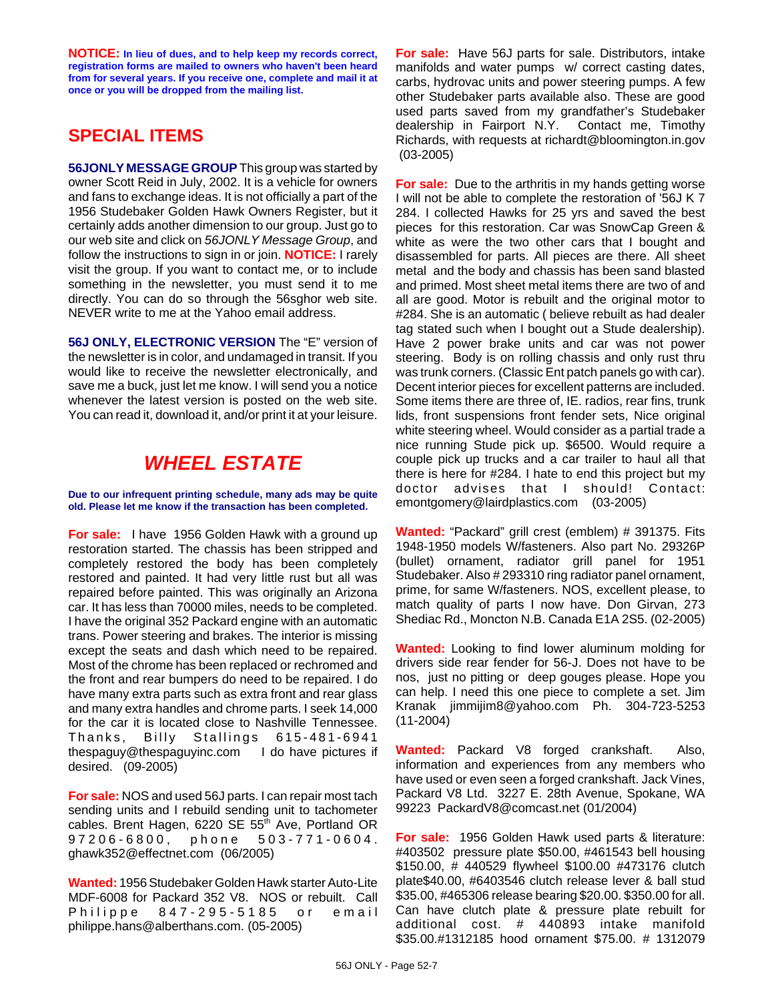**NOTICE: In lieu of dues, and to help keep my records correct, registration forms are mailed to owners who haven't been heard from for several years. If you receive one, complete and mail it at once or you will be dropped from the mailing list.**

## **SPECIAL ITEMS**

**56JONLY MESSAGE GROUP** This group was started by owner Scott Reid in July, 2002. It is a vehicle for owners and fans to exchange ideas. It is not officially a part of the 1956 Studebaker Golden Hawk Owners Register, but it certainly adds another dimension to our group. Just go to our web site and click on *56JONLY Message Group*, and follow the instructions to sign in or join. **NOTICE:** I rarely visit the group. If you want to contact me, or to include something in the newsletter, you must send it to me directly. You can do so through the 56sghor web site. NEVER write to me at the Yahoo email address.

**56J ONLY, ELECTRONIC VERSION** The "E" version of the newsletter is in color, and undamaged in transit. If you would like to receive the newsletter electronically, and save me a buck, just let me know. I will send you a notice whenever the latest version is posted on the web site. You can read it, download it, and/or print it at your leisure.

## *WHEEL ESTATE*

**Due to our infrequent printing schedule, many ads may be quite old. Please let me know if the transaction has been completed.**

**For sale:** I have 1956 Golden Hawk with a ground up restoration started. The chassis has been stripped and completely restored the body has been completely restored and painted. It had very little rust but all was repaired before painted. This was originally an Arizona car. It has less than 70000 miles, needs to be completed. I have the original 352 Packard engine with an automatic trans. Power steering and brakes. The interior is missing except the seats and dash which need to be repaired. Most of the chrome has been replaced or rechromed and the front and rear bumpers do need to be repaired. I do have many extra parts such as extra front and rear glass and many extra handles and chrome parts. I seek 14,000 for the car it is located close to Nashville Tennessee. Thanks, Billy Stallings 615-481-6941 thespaguy@thespaguyinc.com I do have pictures if desired. (09-2005)

**For sale:** NOS and used 56J parts. I can repair most tach sending units and I rebuild sending unit to tachometer cables. Brent Hagen, 6220 SE 55<sup>th</sup> Ave, Portland OR 97206-6800, phone 503-771-0604. ghawk352@effectnet.com (06/2005)

**Wanted:** 1956 Studebaker Golden Hawk starter Auto-Lite MDF-6008 for Packard 352 V8. NOS or rebuilt. Call Philippe 847-295-5185 or email philippe.hans@alberthans.com. (05-2005)

**For sale:** Have 56J parts for sale. Distributors, intake manifolds and water pumps w/ correct casting dates, carbs, hydrovac units and power steering pumps. A few other Studebaker parts available also. These are good used parts saved from my grandfather's Studebaker dealership in Fairport N.Y. Contact me, Timothy Richards, with requests at richardt@bloomington.in.gov (03-2005)

**For sale:** Due to the arthritis in my hands getting worse I will not be able to complete the restoration of '56J K 7 284. I collected Hawks for 25 yrs and saved the best pieces for this restoration. Car was SnowCap Green & white as were the two other cars that I bought and disassembled for parts. All pieces are there. All sheet metal and the body and chassis has been sand blasted and primed. Most sheet metal items there are two of and all are good. Motor is rebuilt and the original motor to #284. She is an automatic ( believe rebuilt as had dealer tag stated such when I bought out a Stude dealership). Have 2 power brake units and car was not power steering. Body is on rolling chassis and only rust thru was trunk corners. (Classic Ent patch panels go with car). Decent interior pieces for excellent patterns are included. Some items there are three of, IE. radios, rear fins, trunk lids, front suspensions front fender sets, Nice original white steering wheel. Would consider as a partial trade a nice running Stude pick up. \$6500. Would require a couple pick up trucks and a car trailer to haul all that there is here for #284. I hate to end this project but my doctor advises that I should! Contact: emontgomery@lairdplastics.com (03-2005)

**Wanted:** "Packard" grill crest (emblem) # 391375. Fits 1948-1950 models W/fasteners. Also part No. 29326P (bullet) ornament, radiator grill panel for 1951 Studebaker. Also # 293310 ring radiator panel ornament, prime, for same W/fasteners. NOS, excellent please, to match quality of parts I now have. Don Girvan, 273 Shediac Rd., Moncton N.B. Canada E1A 2S5. (02-2005)

**Wanted:** Looking to find lower aluminum molding for drivers side rear fender for 56-J. Does not have to be nos, just no pitting or deep gouges please. Hope you can help. I need this one piece to complete a set. Jim Kranak jimmijim8@yahoo.com Ph. 304-723-5253 (11-2004)

**Wanted:** Packard V8 forged crankshaft. Also, information and experiences from any members who have used or even seen a forged crankshaft. Jack Vines, Packard V8 Ltd. 3227 E. 28th Avenue, Spokane, WA 99223 PackardV8@comcast.net (01/2004)

**For sale:** 1956 Golden Hawk used parts & literature: #403502 pressure plate \$50.00, #461543 bell housing \$150.00, # 440529 flywheel \$100.00 #473176 clutch plate\$40.00, #6403546 clutch release lever & ball stud \$35.00, #465306 release bearing \$20.00. \$350.00 for all. Can have clutch plate & pressure plate rebuilt for additional cost. # 440893 intake manifold \$35.00.#1312185 hood ornament \$75.00. # 1312079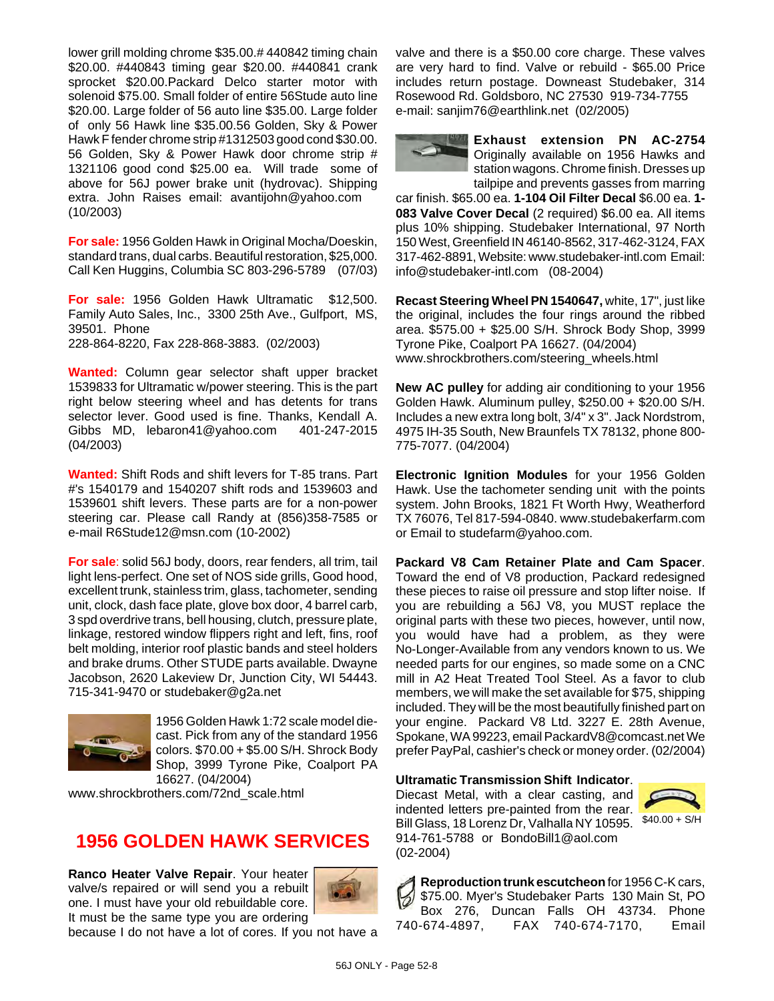lower grill molding chrome \$35.00.# 440842 timing chain \$20.00. #440843 timing gear \$20.00. #440841 crank sprocket \$20.00.Packard Delco starter motor with solenoid \$75.00. Small folder of entire 56Stude auto line \$20.00. Large folder of 56 auto line \$35.00. Large folder of only 56 Hawk line \$35.00.56 Golden, Sky & Power Hawk F fender chrome strip #1312503 good cond \$30.00. 56 Golden, Sky & Power Hawk door chrome strip # 1321106 good cond \$25.00 ea. Will trade some of above for 56J power brake unit (hydrovac). Shipping extra. John Raises email: avantijohn@yahoo.com (10/2003)

**For sale:** 1956 Golden Hawk in Original Mocha/Doeskin, standard trans, dual carbs. Beautiful restoration, \$25,000. Call Ken Huggins, Columbia SC 803-296-5789 (07/03)

**For sale:** 1956 Golden Hawk Ultramatic \$12,500. Family Auto Sales, Inc., 3300 25th Ave., Gulfport, MS, 39501. Phone 228-864-8220, Fax 228-868-3883. (02/2003)

**Wanted:** Column gear selector shaft upper bracket 1539833 for Ultramatic w/power steering. This is the part right below steering wheel and has detents for trans selector lever. Good used is fine. Thanks, Kendall A. Gibbs MD, lebaron41@yahoo.com 401-247-2015 (04/2003)

**Wanted:** Shift Rods and shift levers for T-85 trans. Part #'s 1540179 and 1540207 shift rods and 1539603 and 1539601 shift levers. These parts are for a non-power steering car. Please call Randy at (856)358-7585 or e-mail R6Stude12@msn.com (10-2002)

**For sale**: solid 56J body, doors, rear fenders, all trim, tail light lens-perfect. One set of NOS side grills, Good hood, excellent trunk, stainless trim, glass, tachometer, sending unit, clock, dash face plate, glove box door, 4 barrel carb, 3 spd overdrive trans, bell housing, clutch, pressure plate, linkage, restored window flippers right and left, fins, roof belt molding, interior roof plastic bands and steel holders and brake drums. Other STUDE parts available. Dwayne Jacobson, 2620 Lakeview Dr, Junction City, WI 54443. 715-341-9470 or studebaker@g2a.net



1956 Golden Hawk 1:72 scale model diecast. Pick from any of the standard 1956 colors. \$70.00 + \$5.00 S/H. Shrock Body Shop, 3999 Tyrone Pike, Coalport PA 16627. (04/2004)

www.shrockbrothers.com/72nd\_scale.html

## **1956 GOLDEN HAWK SERVICES**

**Ranco Heater Valve Repair**. Your heater valve/s repaired or will send you a rebuilt one. I must have your old rebuildable core. It must be the same type you are ordering



because I do not have a lot of cores. If you not have a

valve and there is a \$50.00 core charge. These valves are very hard to find. Valve or rebuild - \$65.00 Price includes return postage. Downeast Studebaker, 314 Rosewood Rd. Goldsboro, NC 27530 919-734-7755 e-mail: sanjim76@earthlink.net (02/2005)

**Exhaust extension PN AC-2754** Originally available on 1956 Hawks and station wagons. Chrome finish. Dresses up tailpipe and prevents gasses from marring

car finish. \$65.00 ea. **1-104 Oil Filter Decal** \$6.00 ea. **1- 083 Valve Cover Decal** (2 required) \$6.00 ea. All items plus 10% shipping. Studebaker International, 97 North 150 West, Greenfield IN 46140-8562, 317-462-3124, FAX 317-462-8891, Website: www.studebaker-intl.com Email: info@studebaker-intl.com (08-2004)

**Recast Steering Wheel PN 1540647,** white, 17", just like the original, includes the four rings around the ribbed area. \$575.00 + \$25.00 S/H. Shrock Body Shop, 3999 Tyrone Pike, Coalport PA 16627. (04/2004) www.shrockbrothers.com/steering\_wheels.html

**New AC pulley** for adding air conditioning to your 1956 Golden Hawk. Aluminum pulley, \$250.00 + \$20.00 S/H. Includes a new extra long bolt, 3/4" x 3". Jack Nordstrom, 4975 IH-35 South, New Braunfels TX 78132, phone 800- 775-7077. (04/2004)

**Electronic Ignition Modules** for your 1956 Golden Hawk. Use the tachometer sending unit with the points system. John Brooks, 1821 Ft Worth Hwy, Weatherford TX 76076, Tel 817-594-0840. www.studebakerfarm.com or Email to studefarm@yahoo.com.

**Packard V8 Cam Retainer Plate and Cam Spacer**. Toward the end of V8 production, Packard redesigned these pieces to raise oil pressure and stop lifter noise. If you are rebuilding a 56J V8, you MUST replace the original parts with these two pieces, however, until now, you would have had a problem, as they were No-Longer-Available from any vendors known to us. We needed parts for our engines, so made some on a CNC mill in A2 Heat Treated Tool Steel. As a favor to club members, we will make the set available for \$75, shipping included. They will be the most beautifully finished part on your engine. Packard V8 Ltd. 3227 E. 28th Avenue, Spokane, WA 99223, email PackardV8@comcast.net We prefer PayPal, cashier's check or money order. (02/2004)

#### **Ultramatic Transmission Shift Indicator**.

Diecast Metal, with a clear casting, and indented letters pre-painted from the rear. Bill Glass, 18 Lorenz Dr, Valhalla NY 10595. 914-761-5788 or BondoBill1@aol.com (02-2004)



**Reproduction trunk escutcheon** for 1956 C-K cars, 6 \$75.00. Myer's Studebaker Parts 130 Main St, PO Box 276, Duncan Falls OH 43734. Phone 740-674-4897, FAX 740-674-7170, Email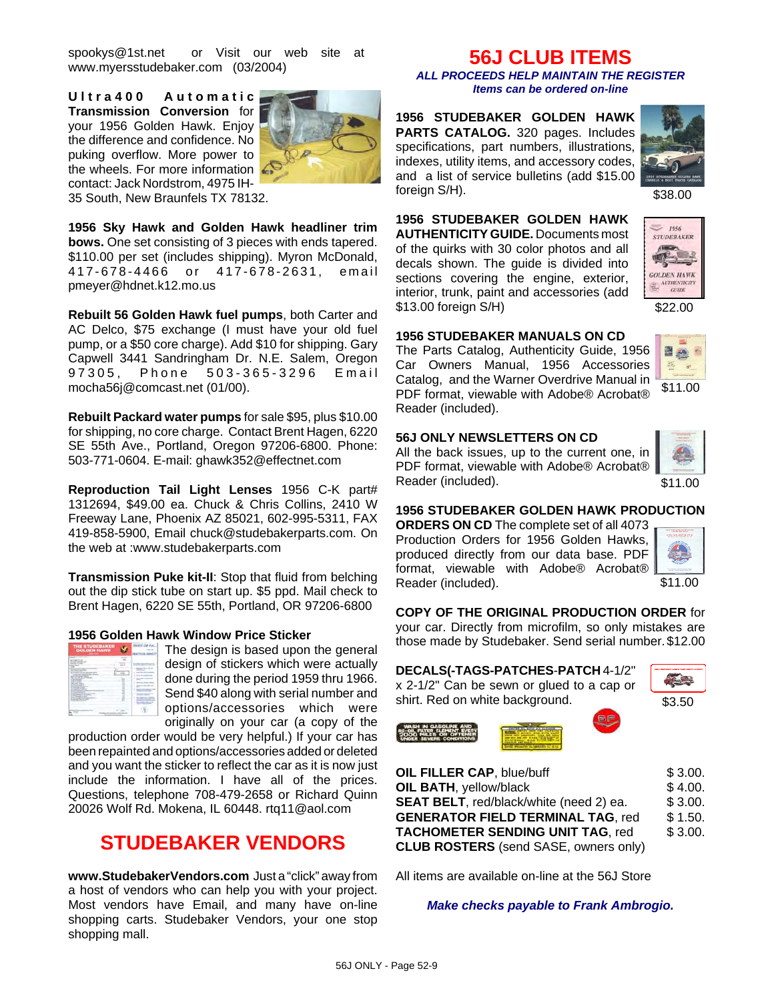spookys@1st.net or Visit our web site at www.myersstudebaker.com (03/2004)

**Ultra400 Automatic Transmission Conversion** for your 1956 Golden Hawk. Enjoy the difference and confidence. No puking overflow. More power to the wheels. For more information contact: Jack Nordstrom, 4975 IH-35 South, New Braunfels TX 78132.



**1956 Sky Hawk and Golden Hawk headliner trim bows.** One set consisting of 3 pieces with ends tapered. \$110.00 per set (includes shipping). Myron McDonald, 417-678-4466 or 417- 678-2631, email pmeyer@hdnet.k12.mo.us

**Rebuilt 56 Golden Hawk fuel pumps**, both Carter and AC Delco, \$75 exchange (I must have your old fuel pump, or a \$50 core charge). Add \$10 for shipping. Gary Capwell 3441 Sandringham Dr. N.E. Salem, Oregon 97305, Phone 503-365-3296 Email mocha56j@comcast.net (01/00).

**Rebuilt Packard water pumps** for sale \$95, plus \$10.00 for shipping, no core charge. Contact Brent Hagen, 6220 SE 55th Ave., Portland, Oregon 97206-6800. Phone: 503-771-0604. E-mail: ghawk352@effectnet.com

**Reproduction Tail Light Lenses** 1956 C-K part# 1312694, \$49.00 ea. Chuck & Chris Collins, 2410 W Freeway Lane, Phoenix AZ 85021, 602-995-5311, FAX 419-858-5900, Email chuck@studebakerparts.com. On the web at :www.studebakerparts.com

**Transmission Puke kit-II**: Stop that fluid from belching out the dip stick tube on start up. \$5 ppd. Mail check to Brent Hagen, 6220 SE 55th, Portland, OR 97206-6800

#### **1956 Golden Hawk Window Price Sticker**



 $\mathbf{F}$   $\mathbf{F}$  The design is based upon the general design of stickers which were actually done during the period 1959 thru 1966. Send \$40 along with serial number and options/accessories which were originally on your car (a copy of the

production order would be very helpful.) If your car has been repainted and options/accessories added or deleted and you want the sticker to reflect the car as it is now just include the information. I have all of the prices. Questions, telephone 708-479-2658 or Richard Quinn 20026 Wolf Rd. Mokena, IL 60448. rtq11@aol.com

## **STUDEBAKER VENDORS**

**www.StudebakerVendors.com** Just a "click" away from a host of vendors who can help you with your project. Most vendors have Email, and many have on-line shopping carts. Studebaker Vendors, your one stop shopping mall.

## **56J CLUB ITEMS**

*ALL PROCEEDS HELP MAINTAIN THE REGISTER Items can be ordered on-line*

**1956 STUDEBAKER GOLDEN HAWK PARTS CATALOG.** 320 pages. Includes specifications, part numbers, illustrations, indexes, utility items, and accessory codes, and a list of service bulletins (add \$15.00 foreign S/H).



**1956 STUDEBAKER GOLDEN HAWK AUTHENTICITY GUIDE.** Documents most of the quirks with 30 color photos and all decals shown. The guide is divided into sections covering the engine, exterior, interior, trunk, paint and accessories (add \$13.00 foreign S/H)



\$22.00

#### **1956 STUDEBAKER MANUALS ON CD**

The Parts Catalog, Authenticity Guide, 1956 Car Owners Manual, 1956 Accessories Catalog, and the Warner Overdrive Manual in PDF format, viewable with Adobe® Acrobat® Reader (included).



#### **56J ONLY NEWSLETTERS ON CD**

All the back issues, up to the current one, in PDF format, viewable with Adobe® Acrobat® Reader (included).



\$11.00

#### **1956 STUDEBAKER GOLDEN HAWK PRODUCTION**

**ORDERS ON CD** The complete set of all 4073 Production Orders for 1956 Golden Hawks, produced directly from our data base. PDF format, viewable with Adobe® Acrobat® Reader (included).

| <b>TELEVISION</b><br><b>CELL</b> |
|----------------------------------|
|                                  |
|                                  |
|                                  |
|                                  |

\$11.00

#### **COPY OF THE ORIGINAL PRODUCTION ORDER** for

your car. Directly from microfilm, so only mistakes are those made by Studebaker. Send serial number. \$12.00

#### **DECALS(-TAGS-PATCHES**-**PATCH** 4-1/2"

x 2-1/2" Can be sewn or glued to a cap or shirt. Red on white background.





**OIL FILLER CAP**, blue/buff \$ 3.00.

| <b>UIL FILLER CAP, DIUB/DUIT</b>             | ა პ.UU. |
|----------------------------------------------|---------|
| OIL BATH, yellow/black                       | \$4.00. |
| SEAT BELT, red/black/white (need 2) ea.      | \$3.00. |
| <b>GENERATOR FIELD TERMINAL TAG, red</b>     | \$1.50. |
| <b>TACHOMETER SENDING UNIT TAG, red</b>      | \$3.00. |
| <b>CLUB ROSTERS</b> (send SASE, owners only) |         |

All items are available on-line at the 56J Store

*Make checks payable to Frank Ambrogio.*